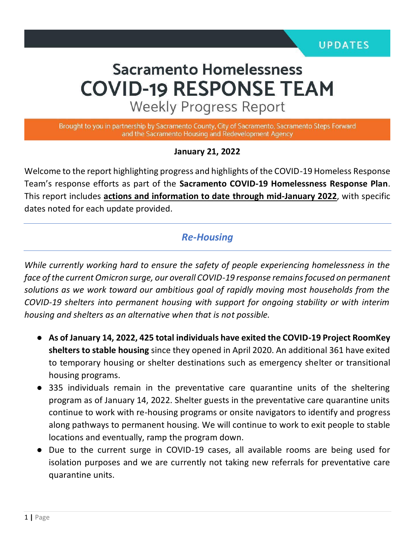# **Sacramento Homelessness COVID-19 RESPONSE TEAM**

**Weekly Progress Report** 

Brought to you in partnership by Sacramento County, City of Sacramento, Sacramento Steps Forward and the Sacramento Housing and Redevelopment Agency

#### **January 21, 2022**

Welcome to the report highlighting progress and highlights of the COVID-19 Homeless Response Team's response efforts as part of the **Sacramento COVID-19 Homelessness Response Plan**. This report includes **actions and information to date through mid-January 2022**, with specific dates noted for each update provided.

#### *Re-Housing*

*While currently working hard to ensure the safety of people experiencing homelessness in the face of the current Omicron surge, our overall COVID-19 response remains focused on permanent solutions as we work toward our ambitious goal of rapidly moving most households from the COVID-19 shelters into permanent housing with support for ongoing stability or with interim housing and shelters as an alternative when that is not possible.* 

- **As of January 14, 2022, 425 total individuals have exited the COVID-19 Project RoomKey shelters to stable housing** since they opened in April 2020. An additional 361 have exited to temporary housing or shelter destinations such as emergency shelter or transitional housing programs.
- 335 individuals remain in the preventative care quarantine units of the sheltering program as of January 14, 2022. Shelter guests in the preventative care quarantine units continue to work with re-housing programs or onsite navigators to identify and progress along pathways to permanent housing. We will continue to work to exit people to stable locations and eventually, ramp the program down.
- Due to the current surge in COVID-19 cases, all available rooms are being used for isolation purposes and we are currently not taking new referrals for preventative care quarantine units.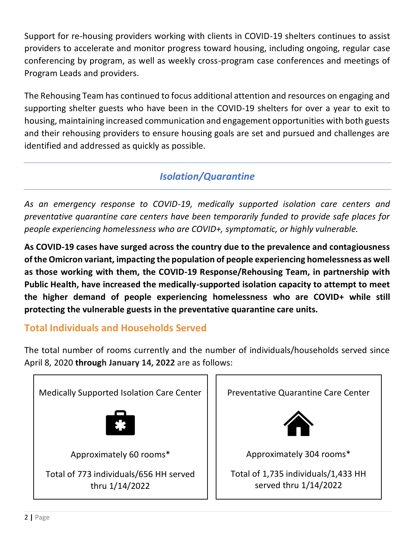Support for re-housing providers working with clients in COVID-19 shelters continues to assist providers to accelerate and monitor progress toward housing, including ongoing, regular case conferencing by program, as well as weekly cross-program case conferences and meetings of Program Leads and providers.

The Rehousing Team has continued to focus additional attention and resources on engaging and supporting shelter guests who have been in the COVID-19 shelters for over a year to exit to housing, maintaining increased communication and engagement opportunities with both guests and their rehousing providers to ensure housing goals are set and pursued and challenges are identified and addressed as quickly as possible.

# *Isolation/Quarantine*

*As an emergency response to COVID-19, medically supported isolation care centers and preventative quarantine care centers have been temporarily funded to provide safe places for people experiencing homelessness who are COVID+, symptomatic, or highly vulnerable.*

**As COVID-19 cases have surged across the country due to the prevalence and contagiousness of the Omicron variant, impacting the population of people experiencing homelessness as well as those working with them, the COVID-19 Response/Rehousing Team, in partnership with Public Health, have increased the medically-supported isolation capacity to attempt to meet the higher demand of people experiencing homelessness who are COVID+ while still protecting the vulnerable guests in the preventative quarantine care units.**

# **Total Individuals and Households Served**

The total number of rooms currently and the number of individuals/households served since April 8, 2020 **through January 14, 2022** are as follows:

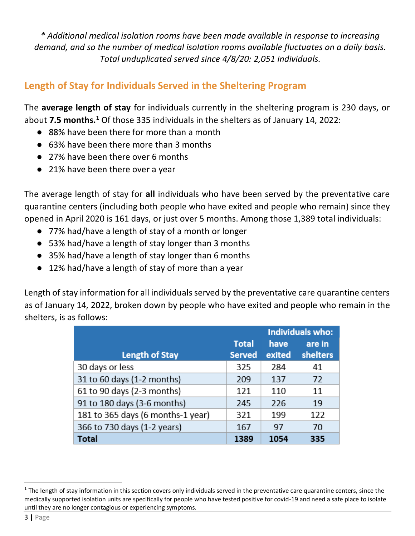*\* Additional medical isolation rooms have been made available in response to increasing demand, and so the number of medical isolation rooms available fluctuates on a daily basis. Total unduplicated served since 4/8/20: 2,051 individuals.* 

## **Length of Stay for Individuals Served in the Sheltering Program**

The **average length of stay** for individuals currently in the sheltering program is 230 days, or about **7.5 months.<sup>1</sup>** Of those 335 individuals in the shelters as of January 14, 2022:

- 88% have been there for more than a month
- 63% have been there more than 3 months
- 27% have been there over 6 months
- 21% have been there over a year

The average length of stay for **all** individuals who have been served by the preventative care quarantine centers (including both people who have exited and people who remain) since they opened in April 2020 is 161 days, or just over 5 months. Among those 1,389 total individuals:

- 77% had/have a length of stay of a month or longer
- 53% had/have a length of stay longer than 3 months
- 35% had/have a length of stay longer than 6 months
- 12% had/have a length of stay of more than a year

Length of stay information for all individuals served by the preventative care quarantine centers as of January 14, 2022, broken down by people who have exited and people who remain in the shelters, is as follows:

|                                   |               | <b>Individuals who:</b> |          |  |
|-----------------------------------|---------------|-------------------------|----------|--|
|                                   | <b>Total</b>  | have                    | are in   |  |
| <b>Length of Stay</b>             | <b>Served</b> | exited                  | shelters |  |
| 30 days or less                   | 325           | 284                     | 41       |  |
| 31 to 60 days (1-2 months)        | 209           | 137                     | 72       |  |
| 61 to 90 days (2-3 months)        | 121           | 110                     | 11       |  |
| 91 to 180 days (3-6 months)       | 245           | 226                     | 19       |  |
| 181 to 365 days (6 months-1 year) | 321           | 199                     | 122      |  |
| 366 to 730 days (1-2 years)       | 167           | 97                      | 70       |  |
| Total                             | 1389          | 1054                    | 335      |  |

 $^1$  The length of stay information in this section covers only individuals served in the preventative care quarantine centers, since the medically supported isolation units are specifically for people who have tested positive for covid-19 and need a safe place to isolate until they are no longer contagious or experiencing symptoms.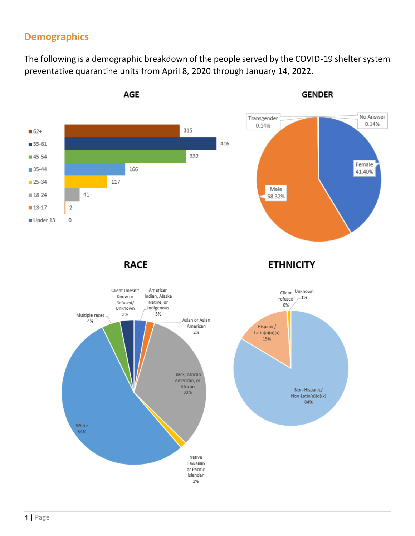### **Demographics**

The following is a demographic breakdown of the people served by the COVID-19 shelter system preventative quarantine units from April 8, 2020 through January 14, 2022.